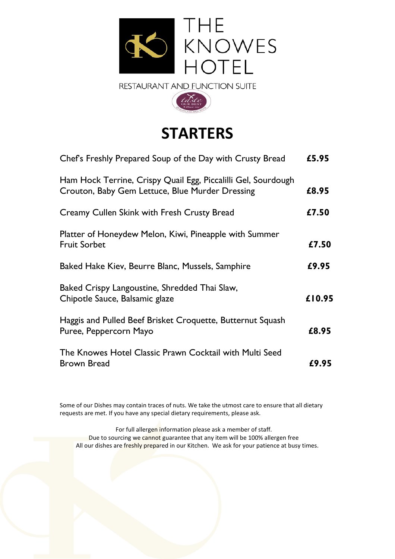



# **STARTERS**

| Chef's Freshly Prepared Soup of the Day with Crusty Bread                                                        | £5.95  |
|------------------------------------------------------------------------------------------------------------------|--------|
| Ham Hock Terrine, Crispy Quail Egg, Piccalilli Gel, Sourdough<br>Crouton, Baby Gem Lettuce, Blue Murder Dressing | £8.95  |
| Creamy Cullen Skink with Fresh Crusty Bread                                                                      | £7.50  |
| Platter of Honeydew Melon, Kiwi, Pineapple with Summer<br><b>Fruit Sorbet</b>                                    | £7.50  |
| Baked Hake Kiev, Beurre Blanc, Mussels, Samphire                                                                 | £9.95  |
| Baked Crispy Langoustine, Shredded Thai Slaw,<br>Chipotle Sauce, Balsamic glaze                                  | £10.95 |
| Haggis and Pulled Beef Brisket Croquette, Butternut Squash<br>Puree, Peppercorn Mayo                             | £8.95  |
| The Knowes Hotel Classic Prawn Cocktail with Multi Seed<br><b>Brown Bread</b>                                    | £9.95  |

Some of our Dishes may contain traces of nuts. We take the utmost care to ensure that all dietary requests are met. If you have any special dietary requirements, please ask.

For full allergen information please ask a member of staff. Due to sourcing we cannot guarantee that any item will be 100% allergen free All our dishes are freshly prepared in our Kitchen. We ask for your patience at busy times.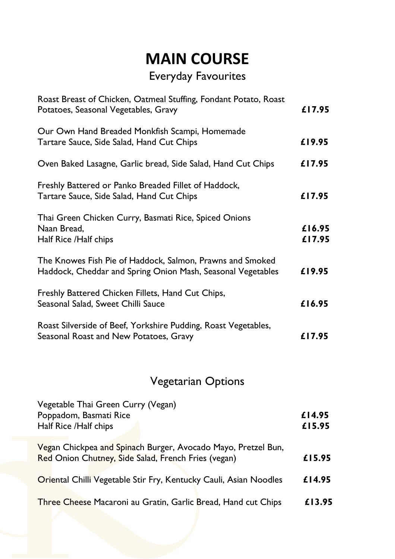# **MAIN COURSE**

# Everyday Favourites

| Roast Breast of Chicken, Oatmeal Stuffing, Fondant Potato, Roast<br>Potatoes, Seasonal Vegetables, Gravy                 | £17.95           |
|--------------------------------------------------------------------------------------------------------------------------|------------------|
| Our Own Hand Breaded Monkfish Scampi, Homemade<br>Tartare Sauce, Side Salad, Hand Cut Chips                              | £19.95           |
| Oven Baked Lasagne, Garlic bread, Side Salad, Hand Cut Chips                                                             | £17.95           |
| Freshly Battered or Panko Breaded Fillet of Haddock,<br>Tartare Sauce, Side Salad, Hand Cut Chips                        | £17.95           |
| Thai Green Chicken Curry, Basmati Rice, Spiced Onions<br>Naan Bread,<br>Half Rice /Half chips                            | £16.95<br>£17.95 |
| The Knowes Fish Pie of Haddock, Salmon, Prawns and Smoked<br>Haddock, Cheddar and Spring Onion Mash, Seasonal Vegetables | £19.95           |
| Freshly Battered Chicken Fillets, Hand Cut Chips,<br>Seasonal Salad, Sweet Chilli Sauce                                  | £16.95           |
| Roast Silverside of Beef, Yorkshire Pudding, Roast Vegetables,<br>Seasonal Roast and New Potatoes, Gravy                 | £17.95           |
| <b>Vegetarian Options</b>                                                                                                |                  |
| Vegetable Thai Green Curry (Vegan)<br>Poppadom, Basmati Rice<br>Half Rice /Half chips                                    | £14.95<br>£15.95 |
| Vegan Chickpea and Spinach Burger, Avocado Mayo, Pretzel Bun,<br>Red Onion Chutney, Side Salad, French Fries (vegan)     | £15.95           |
| Oriental Chilli Vegetable Stir Fry, Kentucky Cauli, Asian Noodles                                                        | £14.95           |
| Three Cheese Macaroni au Gratin, Garlic Bread, Hand cut Chips                                                            | £13.95           |
|                                                                                                                          |                  |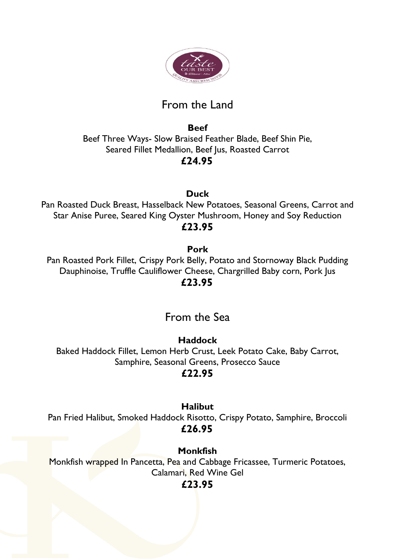

# From the Land

**Beef**  Beef Three Ways- Slow Braised Feather Blade, Beef Shin Pie, Seared Fillet Medallion, Beef Jus, Roasted Carrot **£24.95**

**Duck**

Pan Roasted Duck Breast, Hasselback New Potatoes, Seasonal Greens, Carrot and Star Anise Puree, Seared King Oyster Mushroom, Honey and Soy Reduction **£23.95**

### **Pork**

Pan Roasted Pork Fillet, Crispy Pork Belly, Potato and Stornoway Black Pudding Dauphinoise, Truffle Cauliflower Cheese, Chargrilled Baby corn, Pork Jus  **£23.95**

# From the Sea

### **Haddock**

Baked Haddock Fillet, Lemon Herb Crust, Leek Potato Cake, Baby Carrot, Samphire, Seasonal Greens, Prosecco Sauce

### **£22.95**

### **Halibut**

Pan Fried Halibut, Smoked Haddock Risotto, Crispy Potato, Samphire, Broccoli **£26.95**

**Monkfish** Monkfish wrapped In Pancetta, Pea and Cabbage Fricassee, Turmeric Potatoes, Calamari, Red Wine Gel

### **£23.95**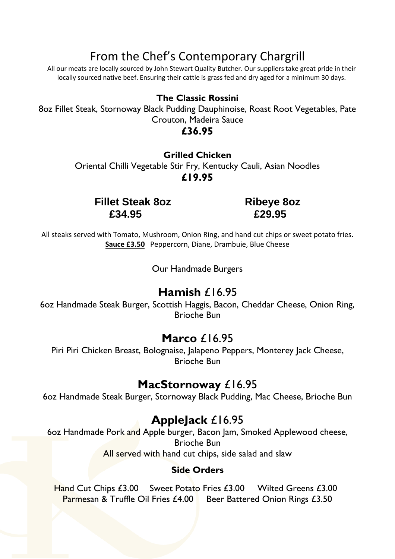# From the Chef's Contemporary Chargrill

All our meats are locally sourced by John Stewart Quality Butcher. Our suppliers take great pride in their locally sourced native beef. Ensuring their cattle is grass fed and dry aged for a minimum 30 days.

### **The Classic Rossini**

8oz Fillet Steak, Stornoway Black Pudding Dauphinoise, Roast Root Vegetables, Pate Crouton, Madeira Sauce

### **£36.95**

**Grilled Chicken** Oriental Chilli Vegetable Stir Fry, Kentucky Cauli, Asian Noodles **£19.95**

**Fillet Steak 8oz Ribeye 8oz £34.95 £29.95**

All steaks served with Tomato, Mushroom, Onion Ring, and hand cut chips or sweet potato fries. **Sauce £3.50** Peppercorn, Diane, Drambuie, Blue Cheese

Our Handmade Burgers

## **Hamish** £16.95

6oz Handmade Steak Burger, Scottish Haggis, Bacon, Cheddar Cheese, Onion Ring, Brioche Bun

## **Marco** £16.95

Piri Piri Chicken Breast, Bolognaise, Jalapeno Peppers, Monterey Jack Cheese, Brioche Bun

## **MacStornoway** £16.95

6oz Handmade Steak Burger, Stornoway Black Pudding, Mac Cheese, Brioche Bun

# **AppleJack** £16.95

6oz Handmade Pork and Apple burger, Bacon Jam, Smoked Applewood cheese, Brioche Bun All served with hand cut chips, side salad and slaw

#### **Side Orders**

Hand Cut Chips £3.00 Sweet Potato Fries £3.00 Wilted Greens £3.00 Parmesan & Truffle Oil Fries £4.00 Beer Battered Onion Rings £3.50